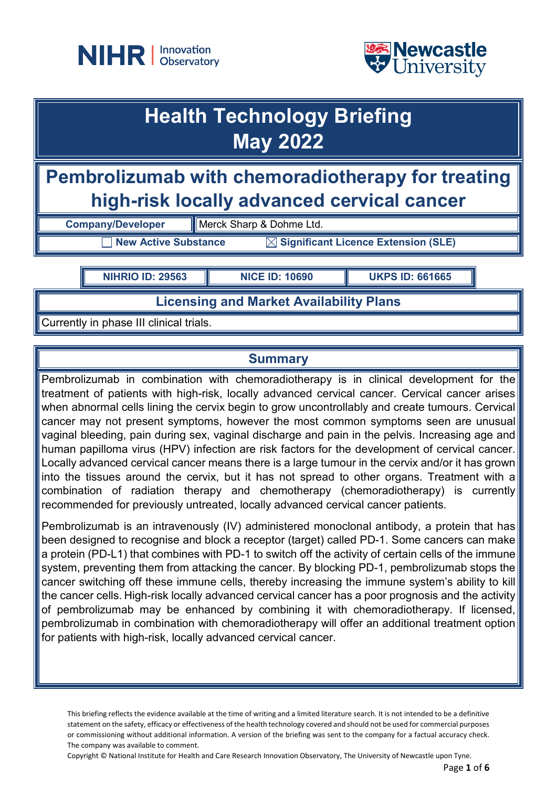



# **Health Technology Briefing May 2022**

**Pembrolizumab with chemoradiotherapy for treating high-risk locally advanced cervical cancer**

**Company/Developer Merck Sharp & Dohme Ltd.** 

**New Active Substance MET Significant Licence Extension (SLE)** 

**NIHRIO ID: 29563 NICE ID: 10690 UKPS ID: 661665**

**Licensing and Market Availability Plans**

Currently in phase III clinical trials.

# **Summary**

Pembrolizumab in combination with chemoradiotherapy is in clinical development for the treatment of patients with high-risk, locally advanced cervical cancer. Cervical cancer arises when abnormal cells lining the cervix begin to grow uncontrollably and create tumours. Cervical cancer may not present symptoms, however the most common symptoms seen are unusual vaginal bleeding, pain during sex, vaginal discharge and pain in the pelvis. Increasing age and human papilloma virus (HPV) infection are risk factors for the development of cervical cancer. Locally advanced cervical cancer means there is a large tumour in the cervix and/or it has grown into the tissues around the cervix, but it has not spread to other organs. Treatment with a combination of radiation therapy and chemotherapy (chemoradiotherapy) is currently recommended for previously untreated, locally advanced cervical cancer patients.

Pembrolizumab is an intravenously (IV) administered monoclonal antibody, a protein that has been designed to recognise and block a receptor (target) called PD-1. Some cancers can make a protein (PD-L1) that combines with PD-1 to switch off the activity of certain cells of the immune system, preventing them from attacking the cancer. By blocking PD-1, pembrolizumab stops the cancer switching off these immune cells, thereby increasing the immune system's ability to kill the cancer cells. High-risk locally advanced cervical cancer has a poor prognosis and the activity of pembrolizumab may be enhanced by combining it with chemoradiotherapy. If licensed, pembrolizumab in combination with chemoradiotherapy will offer an additional treatment option for patients with high-risk, locally advanced cervical cancer.

This briefing reflects the evidence available at the time of writing and a limited literature search. It is not intended to be a definitive statement on the safety, efficacy or effectiveness of the health technology covered and should not be used for commercial purposes or commissioning without additional information. A version of the briefing was sent to the company for a factual accuracy check. The company was available to comment.

Copyright © National Institute for Health and Care Research Innovation Observatory, The University of Newcastle upon Tyne.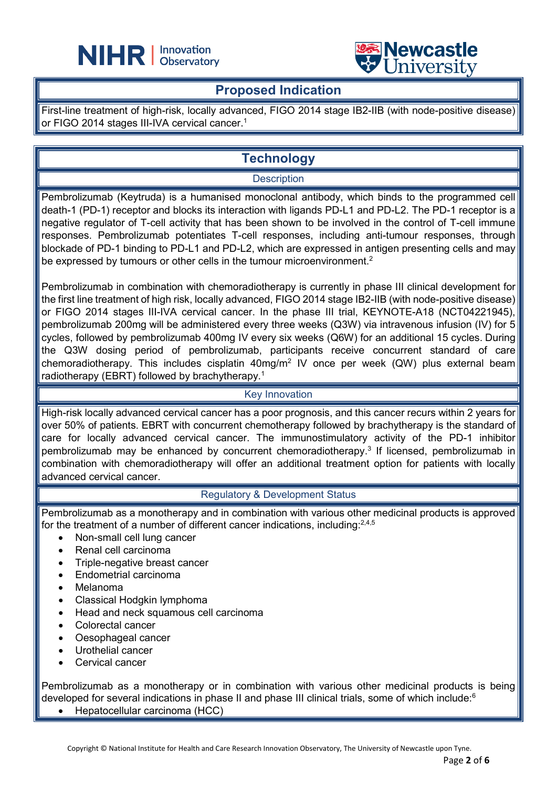



### **Proposed Indication**

L

First-line treatment of high-risk, locally advanced, FIGO 2014 stage IB2-IIB (with node-positive disease) or FIGO 2014 stages III-IVA cervical cancer.<sup>1</sup>

# **Technology**

#### **Description**

Pembrolizumab (Keytruda) is a humanised monoclonal antibody, which binds to the programmed cell death-1 (PD-1) receptor and blocks its interaction with ligands PD-L1 and PD-L2. The PD-1 receptor is a negative regulator of T-cell activity that has been shown to be involved in the control of T-cell immune responses. Pembrolizumab potentiates T-cell responses, including anti-tumour responses, through blockade of PD-1 binding to PD-L1 and PD-L2, which are expressed in antigen presenting cells and may be expressed by tumours or other cells in the tumour microenvironment. $^2$ 

Pembrolizumab in combination with chemoradiotherapy is currently in phase III clinical development for the first line treatment of high risk, locally advanced, FIGO 2014 stage IB2-IIB (with node-positive disease) or FIGO 2014 stages III-IVA cervical cancer. In the phase III trial, KEYNOTE-A18 (NCT04221945), pembrolizumab 200mg will be administered every three weeks (Q3W) via intravenous infusion (IV) for 5 cycles, followed by pembrolizumab 400mg IV every six weeks (Q6W) for an additional 15 cycles. During the Q3W dosing period of pembrolizumab, participants receive concurrent standard of care chemoradiotherapy. This includes cisplatin 40mg/m<sup>2</sup> IV once per week (QW) plus external beam radiotherapy (EBRT) followed by brachytherapy.<sup>1</sup>

#### Key Innovation

High-risk locally advanced cervical cancer has a poor prognosis, and this cancer recurs within 2 years for over 50% of patients. EBRT with concurrent chemotherapy followed by brachytherapy is the standard of care for locally advanced cervical cancer. The immunostimulatory activity of the PD-1 inhibitor pembrolizumab may be enhanced by concurrent chemoradiotherapy. <sup>3</sup> If licensed, pembrolizumab in combination with chemoradiotherapy will offer an additional treatment option for patients with locally advanced cervical cancer.

#### Regulatory & Development Status

Pembrolizumab as a monotherapy and in combination with various other medicinal products is approved for the treatment of a number of different cancer indications, including: $^{2,4,5}$ 

- Non-small cell lung cancer
- Renal cell carcinoma
- Triple-negative breast cancer
- Endometrial carcinoma
- Melanoma
- Classical Hodgkin lymphoma
- Head and neck squamous cell carcinoma
- Colorectal cancer
- Oesophageal cancer
- Urothelial cancer
- Cervical cancer

Pembrolizumab as a monotherapy or in combination with various other medicinal products is being developed for several indications in phase II and phase III clinical trials, some of which include:<sup>6</sup>

• Hepatocellular carcinoma (HCC)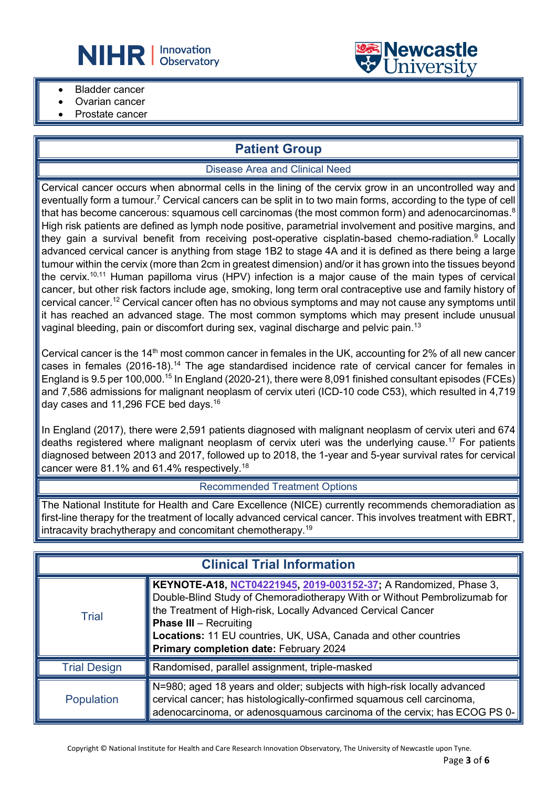



- **Bladder cancer**
- Ovarian cancer
- Prostate cancer

# **Patient Group**

#### Disease Area and Clinical Need

Cervical cancer occurs when abnormal cells in the lining of the cervix grow in an uncontrolled way and eventually form a tumour.<sup>7</sup> Cervical cancers can be split in to two main forms, according to the type of cell that has become cancerous: squamous cell carcinomas (the most common form) and adenocarcinomas. $^8$ High risk patients are defined as lymph node positive, parametrial involvement and positive margins, and they gain a survival benefit from receiving post-operative cisplatin-based chemo-radiation.<sup>9</sup> Locally advanced cervical cancer is anything from stage 1B2 to stage 4A and it is defined as there being a large tumour within the cervix (more than 2cm in greatest dimension) and/or it has grown into the tissues beyond the cervix. 10,11 Human papilloma virus (HPV) infection is a major cause of the main types of cervical cancer, but other risk factors include age, smoking, long term oral contraceptive use and family history of cervical cancer.12 Cervical cancer often has no obvious symptoms and may not cause any symptoms until it has reached an advanced stage. The most common symptoms which may present include unusual vaginal bleeding, pain or discomfort during sex, vaginal discharge and pelvic pain.<sup>13</sup>

Cervical cancer is the 14<sup>th</sup> most common cancer in females in the UK, accounting for 2% of all new cancer cases in females (2016-18).<sup>14</sup> The age standardised incidence rate of cervical cancer for females in England is 9.5 per 100,000.<sup>15</sup> In England (2020-21), there were 8,091 finished consultant episodes (FCEs) and 7,586 admissions for malignant neoplasm of cervix uteri (ICD-10 code C53), which resulted in 4,719 day cases and 11,296 FCE bed days.16

In England (2017), there were 2,591 patients diagnosed with malignant neoplasm of cervix uteri and 674 deaths registered where malignant neoplasm of cervix uteri was the underlying cause.<sup>17</sup> For patients diagnosed between 2013 and 2017, followed up to 2018, the 1-year and 5-year survival rates for cervical cancer were 81.1% and 61.4% respectively.18

#### Recommended Treatment Options

The National Institute for Health and Care Excellence (NICE) currently recommends chemoradiation as first-line therapy for the treatment of locally advanced cervical cancer. This involves treatment with EBRT, intracavity brachytherapy and concomitant chemotherapy. 19

| <b>Clinical Trial Information</b> |                                                                                                                                                                                                                                                                                                                                                                     |  |
|-----------------------------------|---------------------------------------------------------------------------------------------------------------------------------------------------------------------------------------------------------------------------------------------------------------------------------------------------------------------------------------------------------------------|--|
| <b>Trial</b>                      | KEYNOTE-A18, <u>NCT04221945, 2019-003152-37</u> ; A Randomized, Phase 3,<br>Double-Blind Study of Chemoradiotherapy With or Without Pembrolizumab for<br>the Treatment of High-risk, Locally Advanced Cervical Cancer<br><b>Phase III</b> - Recruiting<br>Locations: 11 EU countries, UK, USA, Canada and other countries<br>Primary completion date: February 2024 |  |
| <b>Trial Design</b>               | Randomised, parallel assignment, triple-masked                                                                                                                                                                                                                                                                                                                      |  |
| <b>Population</b>                 | N=980; aged 18 years and older; subjects with high-risk locally advanced<br>cervical cancer; has histologically-confirmed squamous cell carcinoma,<br>adenocarcinoma, or adenosquamous carcinoma of the cervix; has ECOG PS 0-                                                                                                                                      |  |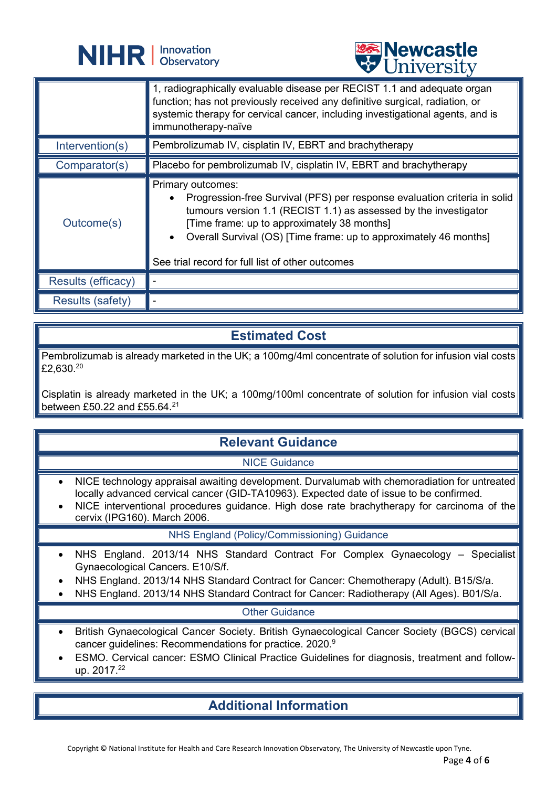



|                           | <b>CHITACTOTA</b>                                                                                                                                                                                                                                                                                                                          |
|---------------------------|--------------------------------------------------------------------------------------------------------------------------------------------------------------------------------------------------------------------------------------------------------------------------------------------------------------------------------------------|
|                           | 1, radiographically evaluable disease per RECIST 1.1 and adequate organ<br>function; has not previously received any definitive surgical, radiation, or<br>systemic therapy for cervical cancer, including investigational agents, and is<br>immunotherapy-naïve                                                                           |
| Intervention(s)           | Pembrolizumab IV, cisplatin IV, EBRT and brachytherapy                                                                                                                                                                                                                                                                                     |
| Comparator(s)             | Placebo for pembrolizumab IV, cisplatin IV, EBRT and brachytherapy                                                                                                                                                                                                                                                                         |
| Outcome(s)                | Primary outcomes:<br>Progression-free Survival (PFS) per response evaluation criteria in solid<br>tumours version 1.1 (RECIST 1.1) as assessed by the investigator<br>[Time frame: up to approximately 38 months]<br>Overall Survival (OS) [Time frame: up to approximately 46 months]<br>See trial record for full list of other outcomes |
| <b>Results (efficacy)</b> |                                                                                                                                                                                                                                                                                                                                            |
| <b>Results (safety)</b>   |                                                                                                                                                                                                                                                                                                                                            |

### **Estimated Cost**

Pembrolizumab is already marketed in the UK; a 100mg/4ml concentrate of solution for infusion vial costs  $£2,630.<sup>20</sup>$ 

Cisplatin is already marketed in the UK; a 100mg/100ml concentrate of solution for infusion vial costs between £50.22 and £55.64.21

## **Relevant Guidance**

NICE Guidance

- NICE technology appraisal awaiting development. Durvalumab with chemoradiation for untreated locally advanced cervical cancer (GID-TA10963). Expected date of issue to be confirmed.
- NICE interventional procedures guidance. High dose rate brachytherapy for carcinoma of the cervix (IPG160). March 2006.

#### NHS England (Policy/Commissioning) Guidance

- NHS England. 2013/14 NHS Standard Contract For Complex Gynaecology Specialist Gynaecological Cancers. E10/S/f.
- NHS England. 2013/14 NHS Standard Contract for Cancer: Chemotherapy (Adult). B15/S/a.
- NHS England. 2013/14 NHS Standard Contract for Cancer: Radiotherapy (All Ages). B01/S/a.

#### Other Guidance

- British Gynaecological Cancer Society. British Gynaecological Cancer Society (BGCS) cervical cancer guidelines: Recommendations for practice. 2020.9
- ESMO. Cervical cancer: ESMO Clinical Practice Guidelines for diagnosis, treatment and followup. 2017.22

## **Additional Information**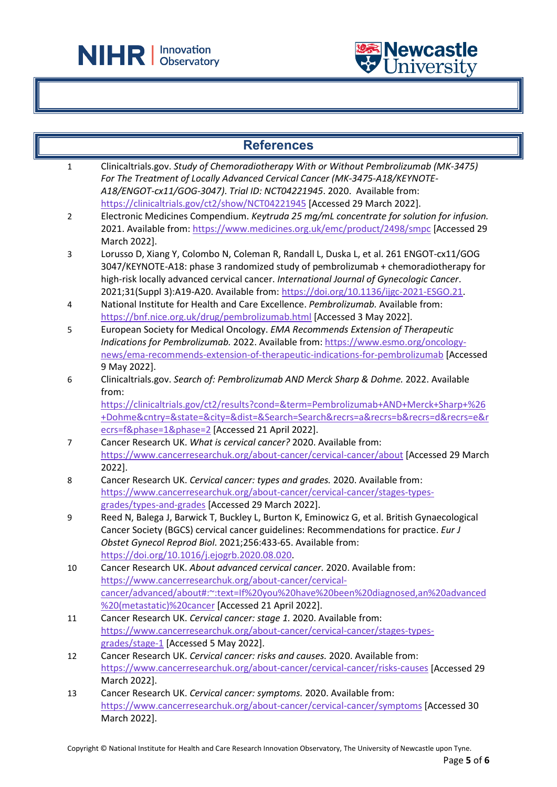

L



| <b>References</b>       |                                                                                                                                                                                                                                                                                                                                                                    |  |
|-------------------------|--------------------------------------------------------------------------------------------------------------------------------------------------------------------------------------------------------------------------------------------------------------------------------------------------------------------------------------------------------------------|--|
| $\mathbf{1}$            | Clinicaltrials.gov. Study of Chemoradiotherapy With or Without Pembrolizumab (MK-3475)<br>For The Treatment of Locally Advanced Cervical Cancer (MK-3475-A18/KEYNOTE-<br>A18/ENGOT-cx11/GOG-3047). Trial ID: NCT04221945. 2020. Available from:                                                                                                                    |  |
|                         | https://clinicaltrials.gov/ct2/show/NCT04221945 [Accessed 29 March 2022].                                                                                                                                                                                                                                                                                          |  |
| $\overline{2}$          | Electronic Medicines Compendium. Keytruda 25 mg/mL concentrate for solution for infusion.<br>2021. Available from: https://www.medicines.org.uk/emc/product/2498/smpc [Accessed 29<br>March 2022].                                                                                                                                                                 |  |
| 3                       | Lorusso D, Xiang Y, Colombo N, Coleman R, Randall L, Duska L, et al. 261 ENGOT-cx11/GOG<br>3047/KEYNOTE-A18: phase 3 randomized study of pembrolizumab + chemoradiotherapy for<br>high-risk locally advanced cervical cancer. International Journal of Gynecologic Cancer.<br>2021;31(Suppl 3):A19-A20. Available from: https://doi.org/10.1136/ijgc-2021-ESGO.21. |  |
| $\overline{\mathbf{4}}$ | National Institute for Health and Care Excellence. Pembrolizumab. Available from:<br>https://bnf.nice.org.uk/drug/pembrolizumab.html [Accessed 3 May 2022].                                                                                                                                                                                                        |  |
| 5                       | European Society for Medical Oncology. EMA Recommends Extension of Therapeutic                                                                                                                                                                                                                                                                                     |  |
|                         | Indications for Pembrolizumab. 2022. Available from: https://www.esmo.org/oncology-                                                                                                                                                                                                                                                                                |  |
|                         | news/ema-recommends-extension-of-therapeutic-indications-for-pembrolizumab [Accessed                                                                                                                                                                                                                                                                               |  |
|                         | 9 May 2022].                                                                                                                                                                                                                                                                                                                                                       |  |
| 6                       | Clinicaltrials.gov. Search of: Pembrolizumab AND Merck Sharp & Dohme. 2022. Available<br>from:                                                                                                                                                                                                                                                                     |  |
|                         | https://clinicaltrials.gov/ct2/results?cond=&term=Pembrolizumab+AND+Merck+Sharp+%26                                                                                                                                                                                                                                                                                |  |
|                         | +Dohme&cntry=&state=&city=&dist=&Search=Search&recrs=a&recrs=b&recrs=d&recrs=e&r                                                                                                                                                                                                                                                                                   |  |
|                         | ecrs=f&phase=1&phase=2 [Accessed 21 April 2022].                                                                                                                                                                                                                                                                                                                   |  |
| 7                       | Cancer Research UK. What is cervical cancer? 2020. Available from:                                                                                                                                                                                                                                                                                                 |  |
|                         | https://www.cancerresearchuk.org/about-cancer/cervical-cancer/about [Accessed 29 March                                                                                                                                                                                                                                                                             |  |
|                         | 2022].                                                                                                                                                                                                                                                                                                                                                             |  |
| 8                       | Cancer Research UK. Cervical cancer: types and grades. 2020. Available from:                                                                                                                                                                                                                                                                                       |  |
|                         | https://www.cancerresearchuk.org/about-cancer/cervical-cancer/stages-types-                                                                                                                                                                                                                                                                                        |  |
|                         | grades/types-and-grades [Accessed 29 March 2022].                                                                                                                                                                                                                                                                                                                  |  |
| 9                       | Reed N, Balega J, Barwick T, Buckley L, Burton K, Eminowicz G, et al. British Gynaecological<br>Cancer Society (BGCS) cervical cancer guidelines: Recommendations for practice. Eur J<br>Obstet Gynecol Reprod Biol. 2021;256:433-65. Available from:<br>https://doi.org/10.1016/j.ejogrb.2020.08.020                                                              |  |
| 10                      | Cancer Research UK. About advanced cervical cancer. 2020. Available from:                                                                                                                                                                                                                                                                                          |  |
|                         | https://www.cancerresearchuk.org/about-cancer/cervical-                                                                                                                                                                                                                                                                                                            |  |
|                         | cancer/advanced/about#:~:text=If%20you%20have%20been%20diagnosed,an%20advanced                                                                                                                                                                                                                                                                                     |  |
|                         | %20(metastatic)%20cancer [Accessed 21 April 2022].                                                                                                                                                                                                                                                                                                                 |  |
| 11                      | Cancer Research UK. Cervical cancer: stage 1. 2020. Available from:                                                                                                                                                                                                                                                                                                |  |
|                         | https://www.cancerresearchuk.org/about-cancer/cervical-cancer/stages-types-                                                                                                                                                                                                                                                                                        |  |
|                         | grades/stage-1 [Accessed 5 May 2022].                                                                                                                                                                                                                                                                                                                              |  |
| 12                      | Cancer Research UK. Cervical cancer: risks and causes. 2020. Available from:                                                                                                                                                                                                                                                                                       |  |
|                         | https://www.cancerresearchuk.org/about-cancer/cervical-cancer/risks-causes [Accessed 29                                                                                                                                                                                                                                                                            |  |
|                         | March 2022].                                                                                                                                                                                                                                                                                                                                                       |  |
| 13                      | Cancer Research UK. Cervical cancer: symptoms. 2020. Available from:                                                                                                                                                                                                                                                                                               |  |
|                         | https://www.cancerresearchuk.org/about-cancer/cervical-cancer/symptoms [Accessed 30                                                                                                                                                                                                                                                                                |  |
|                         | March 2022].                                                                                                                                                                                                                                                                                                                                                       |  |